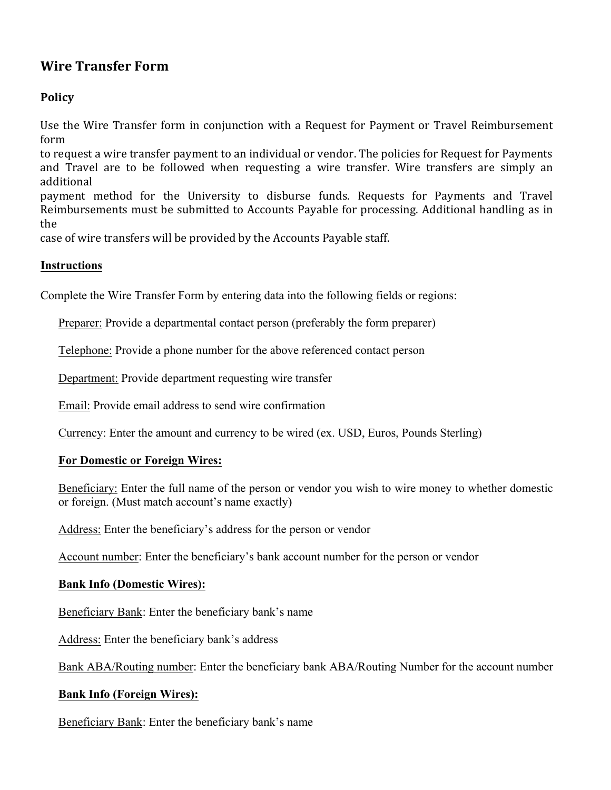# **Wire Transfer Form**

## **Policy**

Use the Wire Transfer form in conjunction with a Request for Payment or Travel Reimbursement form

to request a wire transfer payment to an individual or vendor. The policies for Request for Payments and Travel are to be followed when requesting a wire transfer. Wire transfers are simply an additional

payment method for the University to disburse funds. Requests for Payments and Travel Reimbursements must be submitted to Accounts Payable for processing. Additional handling as in the

case of wire transfers will be provided by the Accounts Payable staff.

### **Instructions**

Complete the Wire Transfer Form by entering data into the following fields or regions:

Preparer: Provide a departmental contact person (preferably the form preparer)

Telephone: Provide a phone number for the above referenced contact person

Department: Provide department requesting wire transfer

Email: Provide email address to send wire confirmation

Currency: Enter the amount and currency to be wired (ex. USD, Euros, Pounds Sterling)

#### **For Domestic or Foreign Wires:**

Beneficiary: Enter the full name of the person or vendor you wish to wire money to whether domestic or foreign. (Must match account's name exactly)

Address: Enter the beneficiary's address for the person or vendor

Account number: Enter the beneficiary's bank account number for the person or vendor

#### **Bank Info (Domestic Wires):**

Beneficiary Bank: Enter the beneficiary bank's name

Address: Enter the beneficiary bank's address

Bank ABA/Routing number: Enter the beneficiary bank ABA/Routing Number for the account number

#### **Bank Info (Foreign Wires):**

Beneficiary Bank: Enter the beneficiary bank's name